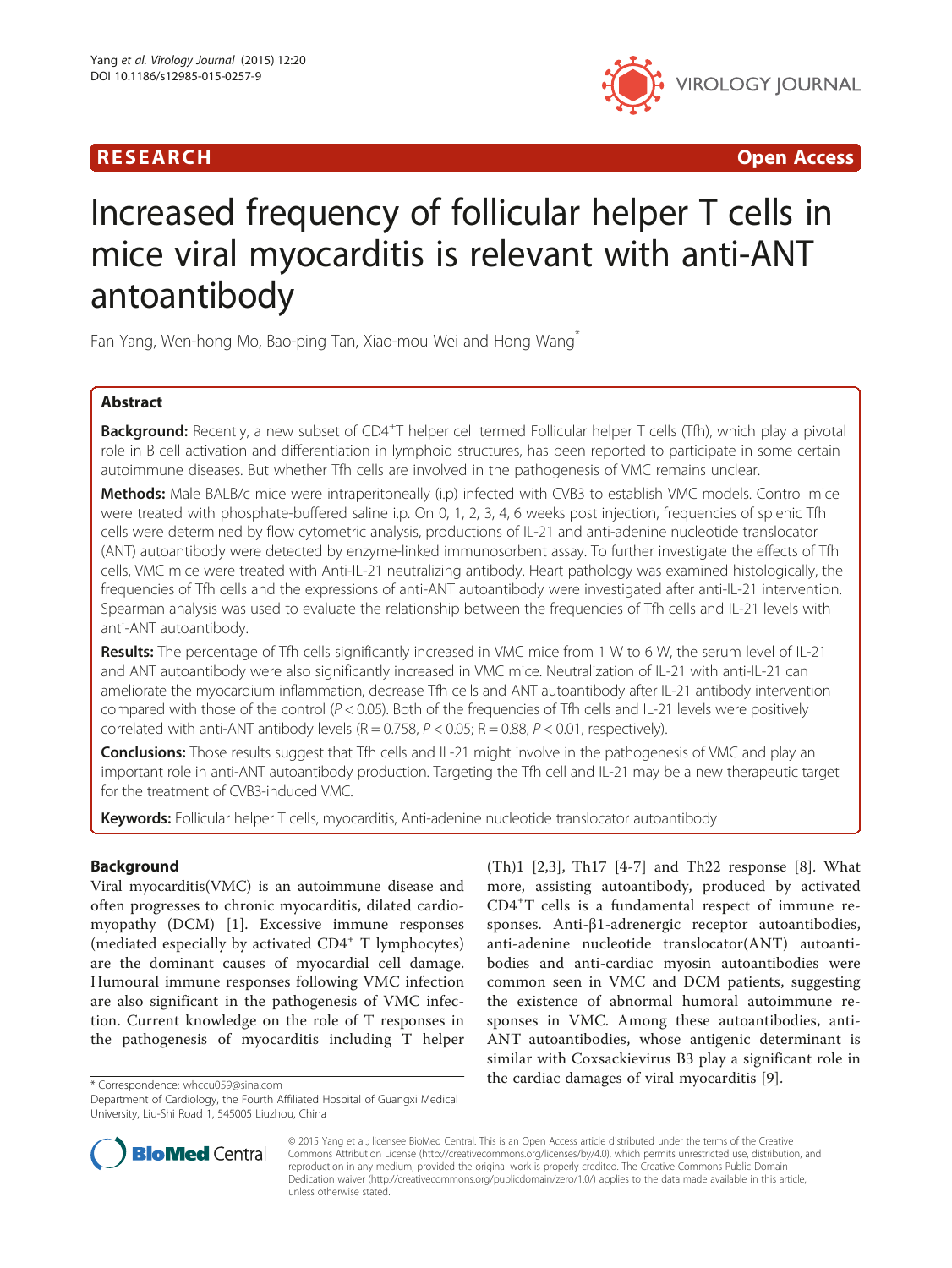

R E S EAR CH Open Access

# Increased frequency of follicular helper T cells in mice viral myocarditis is relevant with anti-ANT antoantibody

Fan Yang, Wen-hong Mo, Bao-ping Tan, Xiao-mou Wei and Hong Wang\*

# Abstract

Background: Recently, a new subset of CD4<sup>+</sup>T helper cell termed Follicular helper T cells (Tfh), which play a pivotal role in B cell activation and differentiation in lymphoid structures, has been reported to participate in some certain autoimmune diseases. But whether Tfh cells are involved in the pathogenesis of VMC remains unclear.

Methods: Male BALB/c mice were intraperitoneally (i.p) infected with CVB3 to establish VMC models. Control mice were treated with phosphate-buffered saline i.p. On 0, 1, 2, 3, 4, 6 weeks post injection, frequencies of splenic Tfh cells were determined by flow cytometric analysis, productions of IL-21 and anti-adenine nucleotide translocator (ANT) autoantibody were detected by enzyme-linked immunosorbent assay. To further investigate the effects of Tfh cells, VMC mice were treated with Anti-IL-21 neutralizing antibody. Heart pathology was examined histologically, the frequencies of Tfh cells and the expressions of anti-ANT autoantibody were investigated after anti-IL-21 intervention. Spearman analysis was used to evaluate the relationship between the frequencies of Tfh cells and IL-21 levels with anti-ANT autoantibody.

Results: The percentage of Tfh cells significantly increased in VMC mice from 1 W to 6 W, the serum level of IL-21 and ANT autoantibody were also significantly increased in VMC mice. Neutralization of IL-21 with anti-IL-21 can ameliorate the myocardium inflammation, decrease Tfh cells and ANT autoantibody after IL-21 antibody intervention compared with those of the control ( $P < 0.05$ ). Both of the frequencies of Tfh cells and IL-21 levels were positively correlated with anti-ANT antibody levels  $(R = 0.758, P < 0.05; R = 0.88, P < 0.01$ , respectively).

Conclusions: Those results suggest that Tfh cells and IL-21 might involve in the pathogenesis of VMC and play an important role in anti-ANT autoantibody production. Targeting the Tfh cell and IL-21 may be a new therapeutic target for the treatment of CVB3-induced VMC.

Keywords: Follicular helper T cells, myocarditis, Anti-adenine nucleotide translocator autoantibody

# **Background**

Viral myocarditis(VMC) is an autoimmune disease and often progresses to chronic myocarditis, dilated cardiomyopathy (DCM) [[1\]](#page-6-0). Excessive immune responses (mediated especially by activated CD4<sup>+</sup> T lymphocytes) are the dominant causes of myocardial cell damage. Humoural immune responses following VMC infection are also significant in the pathogenesis of VMC infection. Current knowledge on the role of T responses in the pathogenesis of myocarditis including T helper

(Th)1 [\[2,3](#page-6-0)], Th17 [[4-7\]](#page-6-0) and Th22 response [\[8](#page-6-0)]. What more, assisting autoantibody, produced by activated CD4<sup>+</sup> T cells is a fundamental respect of immune responses. Anti-β1-adrenergic receptor autoantibodies, anti-adenine nucleotide translocator(ANT) autoantibodies and anti-cardiac myosin autoantibodies were common seen in VMC and DCM patients, suggesting the existence of abnormal humoral autoimmune responses in VMC. Among these autoantibodies, anti-ANT autoantibodies, whose antigenic determinant is similar with Coxsackievirus B3 play a significant role in \*Correspondence: [whccu059@sina.com](mailto:whccu059@sina.com) **the cardiac damages of viral myocarditis** [[9\]](#page-6-0).



© 2015 Yang et al.; licensee BioMed Central. This is an Open Access article distributed under the terms of the Creative Commons Attribution License [\(http://creativecommons.org/licenses/by/4.0\)](http://creativecommons.org/licenses/by/4.0), which permits unrestricted use, distribution, and reproduction in any medium, provided the original work is properly credited. The Creative Commons Public Domain Dedication waiver [\(http://creativecommons.org/publicdomain/zero/1.0/](http://creativecommons.org/publicdomain/zero/1.0/)) applies to the data made available in this article, unless otherwise stated.

Department of Cardiology, the Fourth Affiliated Hospital of Guangxi Medical University, Liu-Shi Road 1, 545005 Liuzhou, China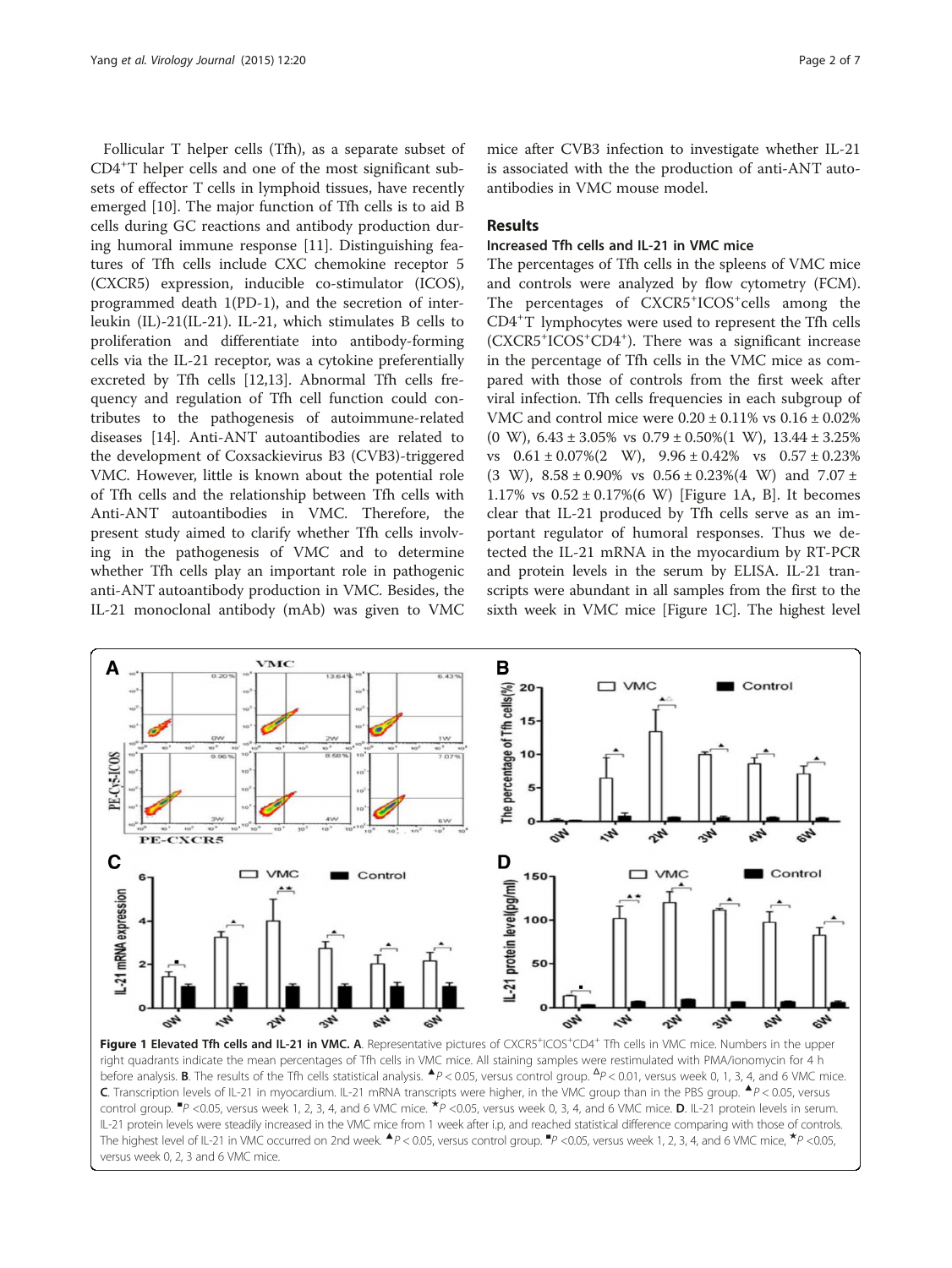<span id="page-1-0"></span>Follicular T helper cells (Tfh), as a separate subset of CD4<sup>+</sup> T helper cells and one of the most significant subsets of effector T cells in lymphoid tissues, have recently emerged [[10\]](#page-6-0). The major function of Tfh cells is to aid B cells during GC reactions and antibody production during humoral immune response [\[11\]](#page-6-0). Distinguishing features of Tfh cells include CXC chemokine receptor 5 (CXCR5) expression, inducible co-stimulator (ICOS), programmed death 1(PD-1), and the secretion of interleukin (IL)-21(IL-21). IL-21, which stimulates B cells to proliferation and differentiate into antibody-forming cells via the IL-21 receptor, was a cytokine preferentially excreted by Tfh cells [[12](#page-6-0),[13](#page-6-0)]. Abnormal Tfh cells frequency and regulation of Tfh cell function could contributes to the pathogenesis of autoimmune-related diseases [[14\]](#page-6-0). Anti-ANT autoantibodies are related to the development of Coxsackievirus B3 (CVB3)-triggered VMC. However, little is known about the potential role of Tfh cells and the relationship between Tfh cells with Anti-ANT autoantibodies in VMC. Therefore, the present study aimed to clarify whether Tfh cells involving in the pathogenesis of VMC and to determine whether Tfh cells play an important role in pathogenic anti-ANT autoantibody production in VMC. Besides, the IL-21 monoclonal antibody (mAb) was given to VMC

mice after CVB3 infection to investigate whether IL-21 is associated with the the production of anti-ANT autoantibodies in VMC mouse model.

# Results

# Increased Tfh cells and IL-21 in VMC mice

The percentages of Tfh cells in the spleens of VMC mice and controls were analyzed by flow cytometry (FCM). The percentages of CXCR5<sup>+</sup>ICOS<sup>+</sup>cells among the CD4<sup>+</sup> T lymphocytes were used to represent the Tfh cells (CXCR5<sup>+</sup> ICOS<sup>+</sup> CD4<sup>+</sup> ). There was a significant increase in the percentage of Tfh cells in the VMC mice as compared with those of controls from the first week after viral infection. Tfh cells frequencies in each subgroup of VMC and control mice were  $0.20 \pm 0.11\%$  vs  $0.16 \pm 0.02\%$ (0 W),  $6.43 \pm 3.05\%$  vs  $0.79 \pm 0.50\%$  (1 W),  $13.44 \pm 3.25\%$ vs  $0.61 \pm 0.07\%$  (2 W),  $9.96 \pm 0.42\%$  vs  $0.57 \pm 0.23\%$ (3 W),  $8.58 \pm 0.90\%$  vs  $0.56 \pm 0.23\%$  (4 W) and  $7.07 \pm 0.02\%$ 1.17% vs  $0.52 \pm 0.17\%$  (6 W) [Figure 1A, B]. It becomes clear that IL-21 produced by Tfh cells serve as an important regulator of humoral responses. Thus we detected the IL-21 mRNA in the myocardium by RT-PCR and protein levels in the serum by ELISA. IL-21 transcripts were abundant in all samples from the first to the sixth week in VMC mice [Figure 1C]. The highest level



Figure 1 Elevated Tfh cells and IL-21 in VMC. A. Representative pictures of CXCR5<sup>+</sup>ICOS<sup>+</sup>CD4<sup>+</sup> Tfh cells in VMC mice. Numbers in the upper right quadrants indicate the mean percentages of Tfh cells in VMC mice. All staining samples were restimulated with PMA/ionomycin for 4 h before analysis. **B**. The results of the Tfh cells statistical analysis.  $\spadesuit$ P < 0.05, versus control group.  $\spadesuit$ P < 0.01, versus week 0, 1, 3, 4, and 6 VMC mice. C. Transcription levels of IL-21 in myocardium. IL-21 mRNA transcripts were higher, in the VMC group than in the PBS group. ▲P < 0.05, versus control group. <sup>■</sup>P <0.05, versus week 1, 2, 3, 4, and 6 VMC mice. **\***P <0.05, versus week 0, 3, 4, and 6 VMC mice. **D**. IL-21 protein levels in serum. IL-21 protein levels were steadily increased in the VMC mice from 1 week after i.p, and reached statistical difference comparing with those of controls. The highest level of IL-21 in VMC occurred on 2nd week.  $\blacktriangle P$  < 0.05, versus control group.  ${}^{w}P$  < 0.05, versus week 1, 2, 3, 4, and 6 VMC mice,  ${}^{\star}P$  < 0.05, versus week 0, 2, 3 and 6 VMC mice.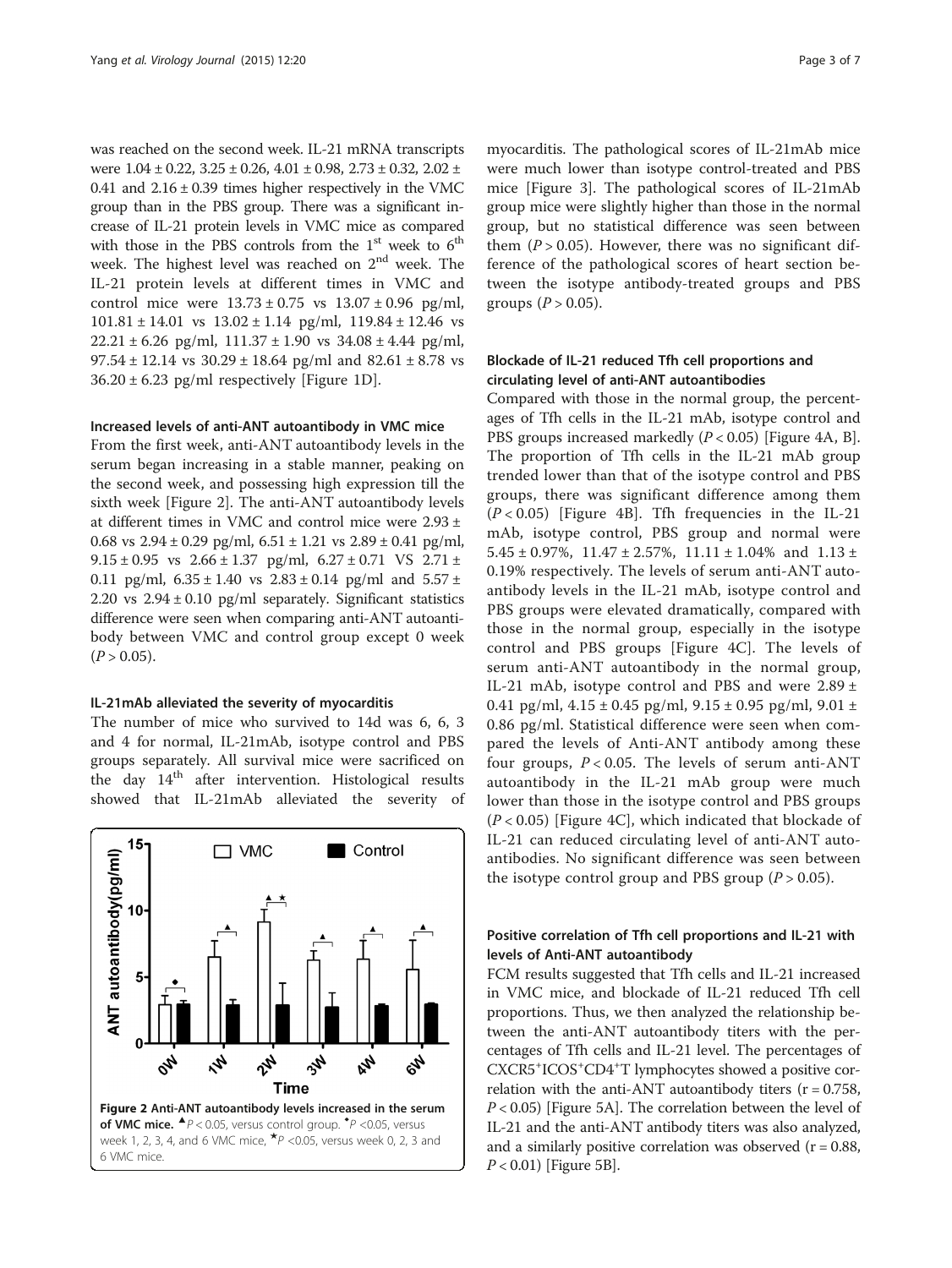was reached on the second week. IL-21 mRNA transcripts were  $1.04 \pm 0.22$ ,  $3.25 \pm 0.26$ ,  $4.01 \pm 0.98$ ,  $2.73 \pm 0.32$ ,  $2.02 \pm 0.25$ 0.41 and  $2.16 \pm 0.39$  times higher respectively in the VMC group than in the PBS group. There was a significant increase of IL-21 protein levels in VMC mice as compared with those in the PBS controls from the  $1<sup>st</sup>$  week to  $6<sup>th</sup>$ week. The highest level was reached on  $2<sup>nd</sup>$  week. The IL-21 protein levels at different times in VMC and control mice were  $13.73 \pm 0.75$  vs  $13.07 \pm 0.96$  pg/ml,  $101.81 \pm 14.01$  vs  $13.02 \pm 1.14$  pg/ml,  $119.84 \pm 12.46$  vs  $22.21 \pm 6.26$  pg/ml,  $111.37 \pm 1.90$  vs  $34.08 \pm 4.44$  pg/ml, 97.54 ± 12.14 vs  $30.29 \pm 18.64$  pg/ml and  $82.61 \pm 8.78$  vs  $36.20 \pm 6.23$  pg/ml respectively [Figure [1](#page-1-0)D].

#### Increased levels of anti-ANT autoantibody in VMC mice

From the first week, anti-ANT autoantibody levels in the serum began increasing in a stable manner, peaking on the second week, and possessing high expression till the sixth week [Figure 2]. The anti-ANT autoantibody levels at different times in VMC and control mice were 2.93 ± 0.68 vs  $2.94 \pm 0.29$  pg/ml,  $6.51 \pm 1.21$  vs  $2.89 \pm 0.41$  pg/ml, 9.15  $\pm$  0.95 vs 2.66  $\pm$  1.37 pg/ml, 6.27  $\pm$  0.71 VS 2.71  $\pm$ 0.11 pg/ml,  $6.35 \pm 1.40$  vs  $2.83 \pm 0.14$  pg/ml and  $5.57 \pm 0.14$ 2.20 vs  $2.94 \pm 0.10$  pg/ml separately. Significant statistics difference were seen when comparing anti-ANT autoantibody between VMC and control group except 0 week  $(P > 0.05)$ .

#### IL-21mAb alleviated the severity of myocarditis

The number of mice who survived to 14d was 6, 6, 3 and 4 for normal, IL-21mAb, isotype control and PBS groups separately. All survival mice were sacrificed on the day 14<sup>th</sup> after intervention. Histological results showed that IL-21mAb alleviated the severity of



myocarditis. The pathological scores of IL-21mAb mice were much lower than isotype control-treated and PBS mice [Figure [3\]](#page-3-0). The pathological scores of IL-21mAb group mice were slightly higher than those in the normal group, but no statistical difference was seen between them  $(P > 0.05)$ . However, there was no significant difference of the pathological scores of heart section between the isotype antibody-treated groups and PBS groups  $(P > 0.05)$ .

# Blockade of IL-21 reduced Tfh cell proportions and circulating level of anti-ANT autoantibodies

Compared with those in the normal group, the percentages of Tfh cells in the IL-21 mAb, isotype control and PBS groups increased markedly  $(P < 0.05)$  [Figure [4A](#page-3-0), B]. The proportion of Tfh cells in the IL-21 mAb group trended lower than that of the isotype control and PBS groups, there was significant difference among them  $(P < 0.05)$  [Figure [4B](#page-3-0)]. Tfh frequencies in the IL-21 mAb, isotype control, PBS group and normal were 5.45  $\pm$  0.97%, 11.47  $\pm$  2.57%, 11.11  $\pm$  1.04% and 1.13  $\pm$ 0.19% respectively. The levels of serum anti-ANT autoantibody levels in the IL-21 mAb, isotype control and PBS groups were elevated dramatically, compared with those in the normal group, especially in the isotype control and PBS groups [Figure [4C](#page-3-0)]. The levels of serum anti-ANT autoantibody in the normal group, IL-21 mAb, isotype control and PBS and were  $2.89 \pm$ 0.41 pg/ml,  $4.15 \pm 0.45$  pg/ml,  $9.15 \pm 0.95$  pg/ml,  $9.01 \pm$ 0.86 pg/ml. Statistical difference were seen when compared the levels of Anti-ANT antibody among these four groups,  $P < 0.05$ . The levels of serum anti-ANT autoantibody in the IL-21 mAb group were much lower than those in the isotype control and PBS groups  $(P < 0.05)$  [Figure [4](#page-3-0)C], which indicated that blockade of IL-21 can reduced circulating level of anti-ANT autoantibodies. No significant difference was seen between the isotype control group and PBS group  $(P > 0.05)$ .

# Positive correlation of Tfh cell proportions and IL-21 with levels of Anti-ANT autoantibody

FCM results suggested that Tfh cells and IL-21 increased in VMC mice, and blockade of IL-21 reduced Tfh cell proportions. Thus, we then analyzed the relationship between the anti-ANT autoantibody titers with the percentages of Tfh cells and IL-21 level. The percentages of CXCR5+ ICOS+ CD4+ T lymphocytes showed a positive correlation with the anti-ANT autoantibody titers  $(r = 0.758,$  $P < 0.05$ ) [Figure [5A](#page-4-0)]. The correlation between the level of IL-21 and the anti-ANT antibody titers was also analyzed, and a similarly positive correlation was observed  $(r = 0.88,$ P < 0.01) [Figure [5](#page-4-0)B].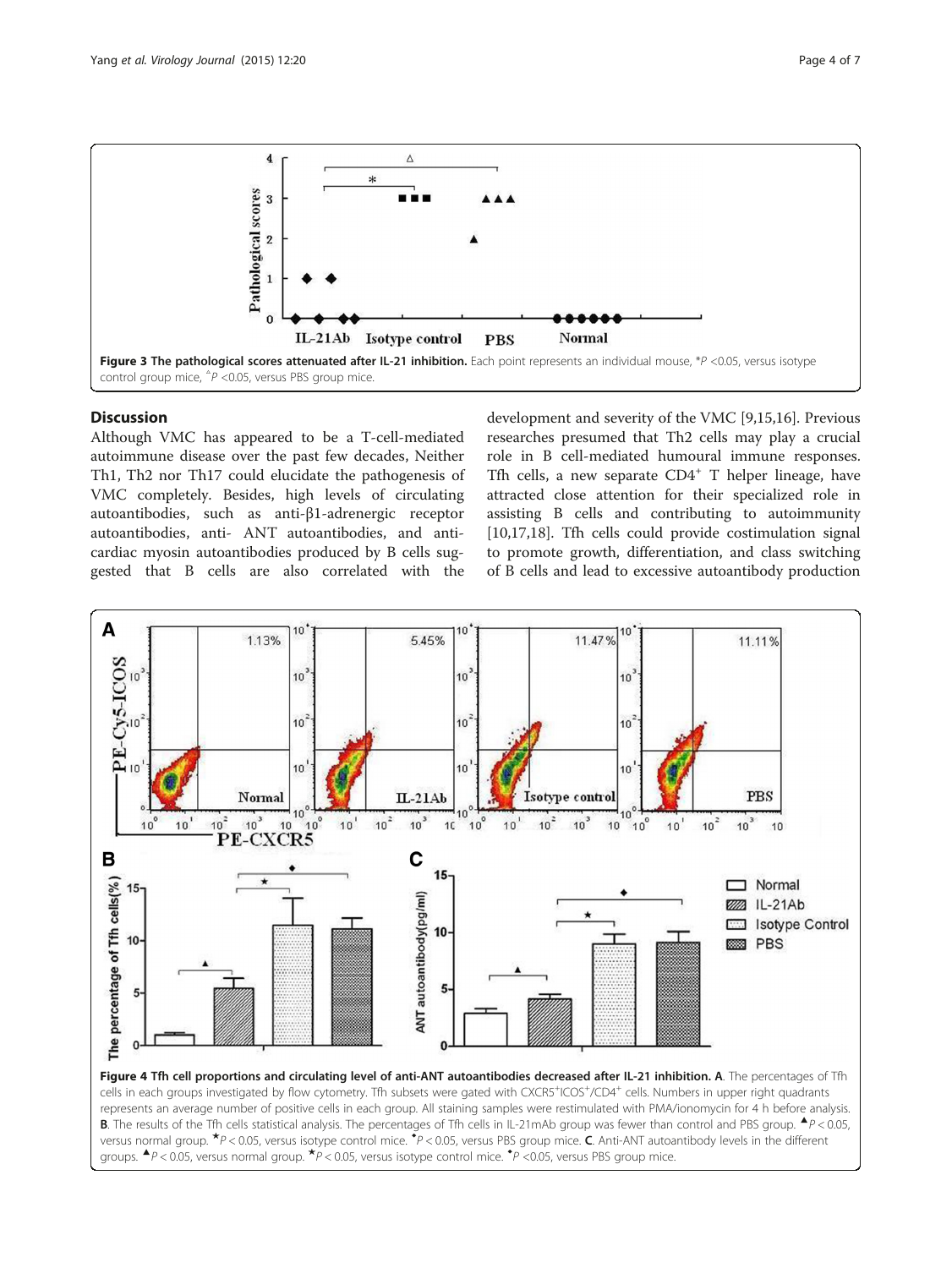<span id="page-3-0"></span>

# **Discussion**

Although VMC has appeared to be a T-cell-mediated autoimmune disease over the past few decades, Neither Th1, Th2 nor Th17 could elucidate the pathogenesis of VMC completely. Besides, high levels of circulating autoantibodies, such as anti-β1-adrenergic receptor autoantibodies, anti- ANT autoantibodies, and anticardiac myosin autoantibodies produced by B cells suggested that B cells are also correlated with the

development and severity of the VMC [[9,15](#page-6-0),[16](#page-6-0)]. Previous researches presumed that Th2 cells may play a crucial role in B cell-mediated humoural immune responses. Tfh cells, a new separate  $CD4^+$  T helper lineage, have attracted close attention for their specialized role in assisting B cells and contributing to autoimmunity [[10,17,18\]](#page-6-0). Tfh cells could provide costimulation signal to promote growth, differentiation, and class switching of B cells and lead to excessive autoantibody production

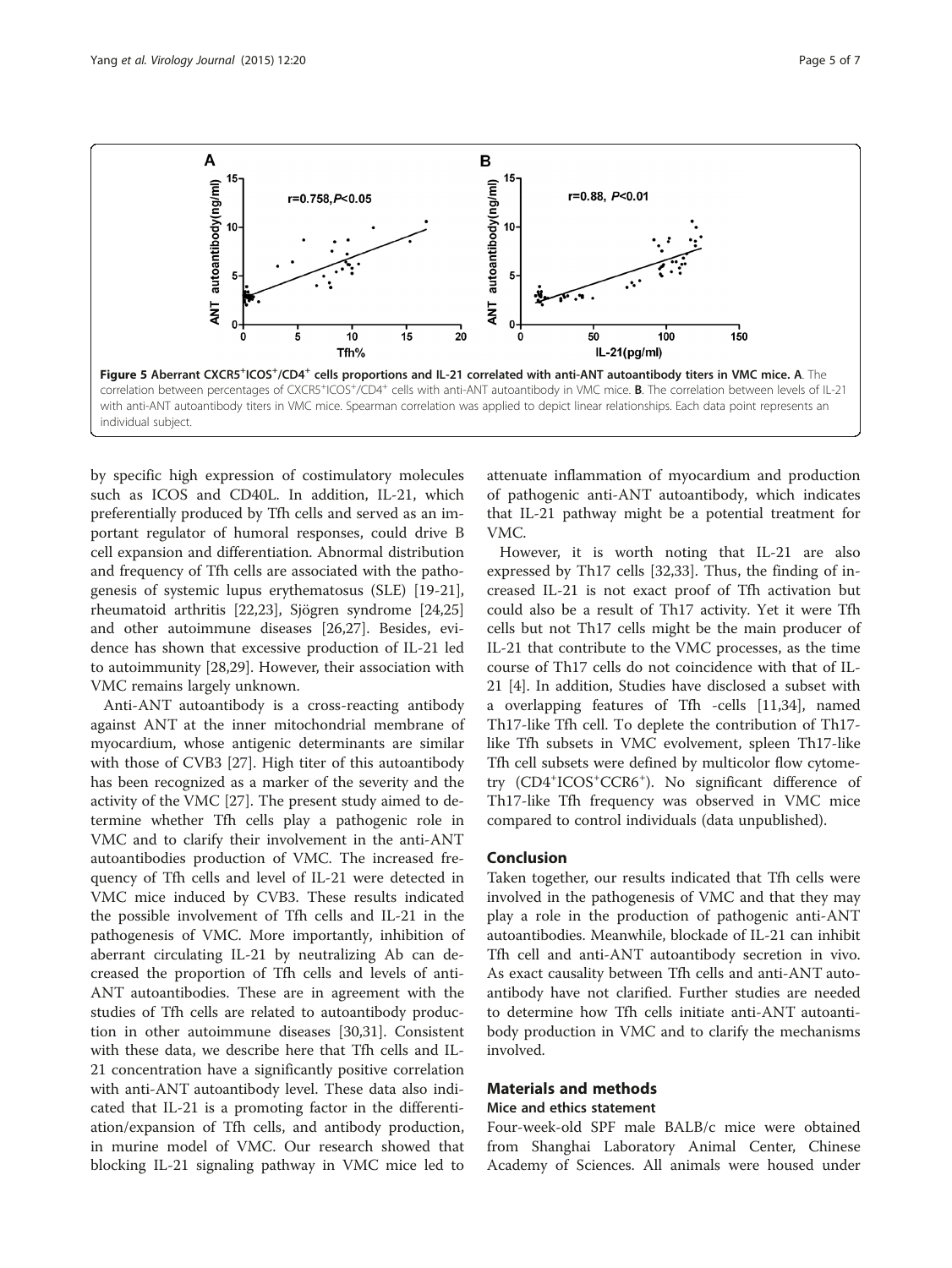<span id="page-4-0"></span>

by specific high expression of costimulatory molecules such as ICOS and CD40L. In addition, IL-21, which preferentially produced by Tfh cells and served as an important regulator of humoral responses, could drive B cell expansion and differentiation. Abnormal distribution and frequency of Tfh cells are associated with the pathogenesis of systemic lupus erythematosus (SLE) [\[19-21](#page-6-0)], rheumatoid arthritis [\[22,23](#page-6-0)], Sjögren syndrome [[24](#page-6-0),[25](#page-6-0)] and other autoimmune diseases [\[26,27](#page-6-0)]. Besides, evidence has shown that excessive production of IL-21 led to autoimmunity [[28,29\]](#page-6-0). However, their association with VMC remains largely unknown.

Anti-ANT autoantibody is a cross-reacting antibody against ANT at the inner mitochondrial membrane of myocardium, whose antigenic determinants are similar with those of CVB3 [\[27](#page-6-0)]. High titer of this autoantibody has been recognized as a marker of the severity and the activity of the VMC [\[27](#page-6-0)]. The present study aimed to determine whether Tfh cells play a pathogenic role in VMC and to clarify their involvement in the anti-ANT autoantibodies production of VMC. The increased frequency of Tfh cells and level of IL-21 were detected in VMC mice induced by CVB3. These results indicated the possible involvement of Tfh cells and IL-21 in the pathogenesis of VMC. More importantly, inhibition of aberrant circulating IL-21 by neutralizing Ab can decreased the proportion of Tfh cells and levels of anti-ANT autoantibodies. These are in agreement with the studies of Tfh cells are related to autoantibody production in other autoimmune diseases [\[30,31\]](#page-6-0). Consistent with these data, we describe here that Tfh cells and IL-21 concentration have a significantly positive correlation with anti-ANT autoantibody level. These data also indicated that IL-21 is a promoting factor in the differentiation/expansion of Tfh cells, and antibody production, in murine model of VMC. Our research showed that blocking IL-21 signaling pathway in VMC mice led to attenuate inflammation of myocardium and production of pathogenic anti-ANT autoantibody, which indicates that IL-21 pathway might be a potential treatment for VMC.

However, it is worth noting that IL-21 are also expressed by Th17 cells [[32,33\]](#page-6-0). Thus, the finding of increased IL-21 is not exact proof of Tfh activation but could also be a result of Th17 activity. Yet it were Tfh cells but not Th17 cells might be the main producer of IL-21 that contribute to the VMC processes, as the time course of Th17 cells do not coincidence with that of IL-21 [\[4](#page-6-0)]. In addition, Studies have disclosed a subset with a overlapping features of Tfh -cells [[11,34\]](#page-6-0), named Th17-like Tfh cell. To deplete the contribution of Th17 like Tfh subsets in VMC evolvement, spleen Th17-like Tfh cell subsets were defined by multicolor flow cytometry (CD4<sup>+</sup>ICOS<sup>+</sup>CCR6<sup>+</sup>). No significant difference of Th17-like Tfh frequency was observed in VMC mice compared to control individuals (data unpublished).

### Conclusion

Taken together, our results indicated that Tfh cells were involved in the pathogenesis of VMC and that they may play a role in the production of pathogenic anti-ANT autoantibodies. Meanwhile, blockade of IL-21 can inhibit Tfh cell and anti-ANT autoantibody secretion in vivo. As exact causality between Tfh cells and anti-ANT autoantibody have not clarified. Further studies are needed to determine how Tfh cells initiate anti-ANT autoantibody production in VMC and to clarify the mechanisms involved.

# Materials and methods

#### Mice and ethics statement

Four-week-old SPF male BALB/c mice were obtained from Shanghai Laboratory Animal Center, Chinese Academy of Sciences. All animals were housed under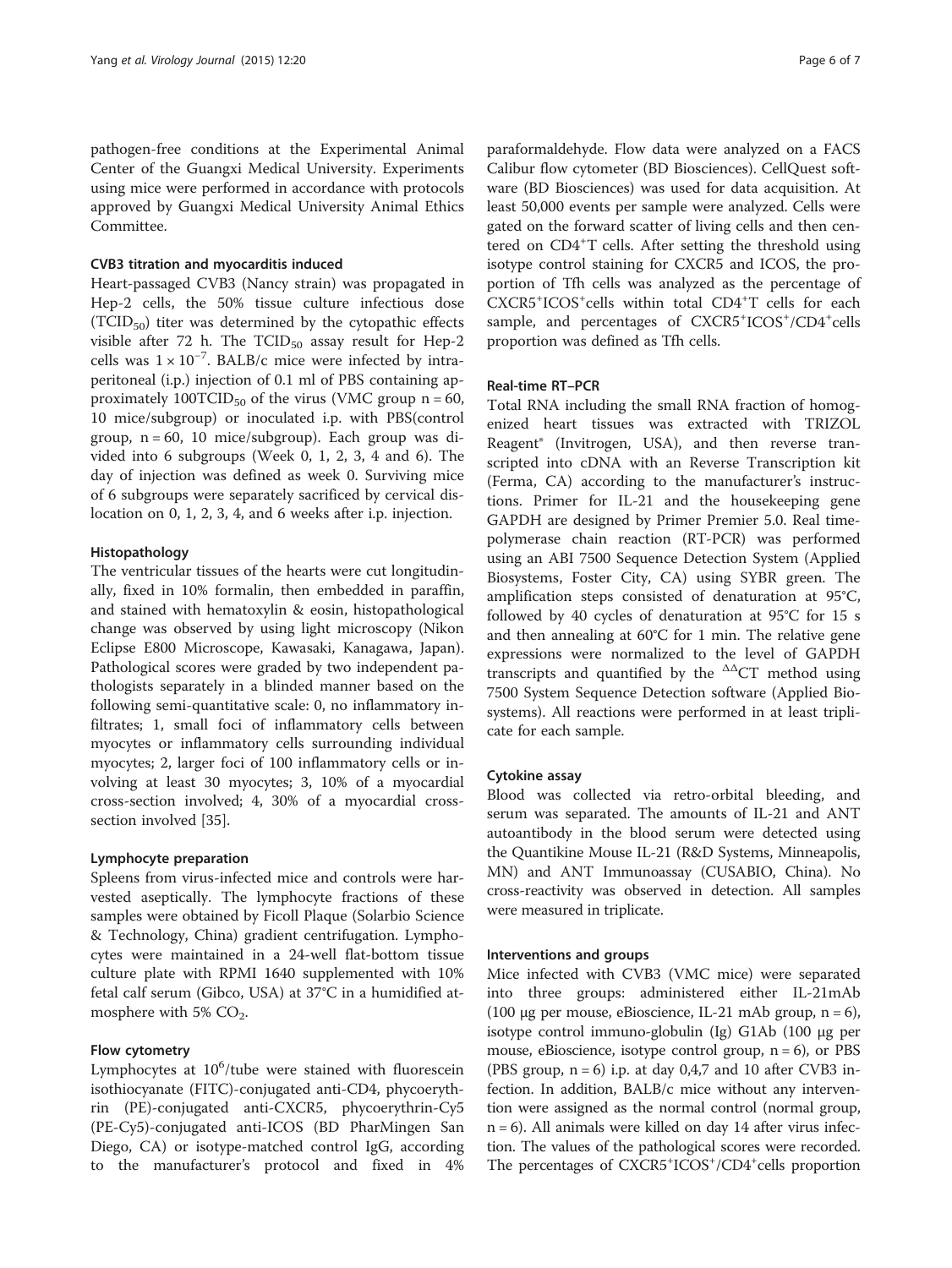pathogen-free conditions at the Experimental Animal Center of the Guangxi Medical University. Experiments using mice were performed in accordance with protocols approved by Guangxi Medical University Animal Ethics Committee.

#### CVB3 titration and myocarditis induced

Heart-passaged CVB3 (Nancy strain) was propagated in Hep-2 cells, the 50% tissue culture infectious dose (TCID50) titer was determined by the cytopathic effects visible after 72 h. The  $TCID_{50}$  assay result for Hep-2 cells was  $1 \times 10^{-7}$ . BALB/c mice were infected by intraperitoneal (i.p.) injection of 0.1 ml of PBS containing approximately 100TCID<sub>50</sub> of the virus (VMC group  $n = 60$ , 10 mice/subgroup) or inoculated i.p. with PBS(control group,  $n = 60$ , 10 mice/subgroup). Each group was divided into 6 subgroups (Week 0, 1, 2, 3, 4 and 6). The day of injection was defined as week 0. Surviving mice of 6 subgroups were separately sacrificed by cervical dislocation on 0, 1, 2, 3, 4, and 6 weeks after i.p. injection.

#### Histopathology

The ventricular tissues of the hearts were cut longitudinally, fixed in 10% formalin, then embedded in paraffin, and stained with hematoxylin & eosin, histopathological change was observed by using light microscopy (Nikon Eclipse E800 Microscope, Kawasaki, Kanagawa, Japan). Pathological scores were graded by two independent pathologists separately in a blinded manner based on the following semi-quantitative scale: 0, no inflammatory infiltrates; 1, small foci of inflammatory cells between myocytes or inflammatory cells surrounding individual myocytes; 2, larger foci of 100 inflammatory cells or involving at least 30 myocytes; 3, 10% of a myocardial cross-section involved; 4, 30% of a myocardial crosssection involved [[35\]](#page-6-0).

#### Lymphocyte preparation

Spleens from virus-infected mice and controls were harvested aseptically. The lymphocyte fractions of these samples were obtained by Ficoll Plaque (Solarbio Science & Technology, China) gradient centrifugation. Lymphocytes were maintained in a 24-well flat-bottom tissue culture plate with RPMI 1640 supplemented with 10% fetal calf serum (Gibco, USA) at 37°C in a humidified atmosphere with 5%  $CO<sub>2</sub>$ .

#### Flow cytometry

Lymphocytes at 10<sup>6</sup>/tube were stained with fluorescein isothiocyanate (FITC)-conjugated anti-CD4, phycoerythrin (PE)-conjugated anti-CXCR5, phycoerythrin-Cy5 (PE-Cy5)-conjugated anti-ICOS (BD PharMingen San Diego, CA) or isotype-matched control IgG, according to the manufacturer's protocol and fixed in 4%

paraformaldehyde. Flow data were analyzed on a FACS Calibur flow cytometer (BD Biosciences). CellQuest software (BD Biosciences) was used for data acquisition. At least 50,000 events per sample were analyzed. Cells were gated on the forward scatter of living cells and then centered on CD4<sup>+</sup>T cells. After setting the threshold using isotype control staining for CXCR5 and ICOS, the proportion of Tfh cells was analyzed as the percentage of CXCR5<sup>+</sup>ICOS<sup>+</sup>cells within total CD4<sup>+</sup>T cells for each sample, and percentages of CXCR5<sup>+</sup>ICOS<sup>+</sup>/CD4<sup>+</sup>cells proportion was defined as Tfh cells.

### Real-time RT–PCR

Total RNA including the small RNA fraction of homogenized heart tissues was extracted with TRIZOL Reagent® (Invitrogen, USA), and then reverse transcripted into cDNA with an Reverse Transcription kit (Ferma, CA) according to the manufacturer's instructions. Primer for IL-21 and the housekeeping gene GAPDH are designed by Primer Premier 5.0. Real timepolymerase chain reaction (RT-PCR) was performed using an ABI 7500 Sequence Detection System (Applied Biosystems, Foster City, CA) using SYBR green. The amplification steps consisted of denaturation at 95°C, followed by 40 cycles of denaturation at 95°C for 15 s and then annealing at 60°C for 1 min. The relative gene expressions were normalized to the level of GAPDH transcripts and quantified by the  $\triangle \triangle CT$  method using 7500 System Sequence Detection software (Applied Biosystems). All reactions were performed in at least triplicate for each sample.

#### Cytokine assay

Blood was collected via retro-orbital bleeding, and serum was separated. The amounts of IL-21 and ANT autoantibody in the blood serum were detected using the Quantikine Mouse IL-21 (R&D Systems, Minneapolis, MN) and ANT Immunoassay (CUSABIO, China). No cross-reactivity was observed in detection. All samples were measured in triplicate.

#### Interventions and groups

Mice infected with CVB3 (VMC mice) were separated into three groups: administered either IL-21mAb (100 μg per mouse, eBioscience, IL-21 mAb group,  $n = 6$ ), isotype control immuno-globulin (Ig) G1Ab (100 μg per mouse, eBioscience, isotype control group,  $n = 6$ ), or PBS (PBS group,  $n = 6$ ) i.p. at day 0,4,7 and 10 after CVB3 infection. In addition, BALB/c mice without any intervention were assigned as the normal control (normal group, n = 6). All animals were killed on day 14 after virus infection. The values of the pathological scores were recorded. The percentages of CXCR5<sup>+</sup>ICOS<sup>+</sup>/CD4<sup>+</sup>cells proportion